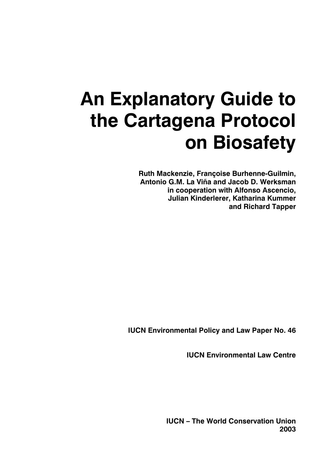# **An Explanatory Guide to the Cartagena Protocol on Biosafety**

**Ruth Mackenzie, Françoise Burhenne-Guilmin, Antonio G.M. La Viña and Jacob D. Werksman in cooperation with Alfonso Ascencio, Julian Kinderlerer, Katharina Kummer and Richard Tapper**

**IUCN Environmental Policy and Law Paper No. 46**

**IUCN Environmental Law Centre**

**IUCN – The World Conservation Union 2003**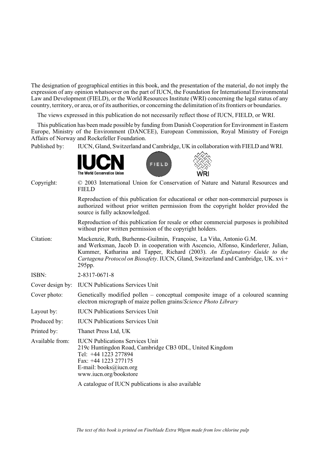The designation of geographical entities in this book, and the presentation of the material, do not imply the expression of any opinion whatsoever on the part of IUCN, the Foundation for International Environmental Law and Development (FIELD), or the World Resources Institute (WRI) concerning the legal status of any country, territory, or area, or of its authorities, or concerning the delimitation of its frontiers or boundaries.

The views expressed in this publication do not necessarily reflect those of IUCN, FIELD, or WRI.

This publication has been made possible by funding from Danish Cooperation for Environment in Eastern Europe, Ministry of the Environment (DANCEE), European Commission, Royal Ministry of Foreign Affairs of Norway and Rockefeller Foundation.

Published by: IUCN, Gland, Switzerland and Cambridge, UK in collaboration with FIELD and WRI.

II IANI

Koloo

|                  | FIELD<br>The World Conservation Union                                                                                                                                                                                                                                                                                                 |
|------------------|---------------------------------------------------------------------------------------------------------------------------------------------------------------------------------------------------------------------------------------------------------------------------------------------------------------------------------------|
| Copyright:       | © 2003 International Union for Conservation of Nature and Natural Resources and<br><b>FIELD</b>                                                                                                                                                                                                                                       |
|                  | Reproduction of this publication for educational or other non-commercial purposes is<br>authorized without prior written permission from the copyright holder provided the<br>source is fully acknowledged.                                                                                                                           |
|                  | Reproduction of this publication for resale or other commercial purposes is prohibited<br>without prior written permission of the copyright holders.                                                                                                                                                                                  |
| Citation:        | Mackenzie, Ruth, Burhenne-Guilmin, Françoise, La Viña, Antonio G.M.<br>and Werksman, Jacob D. in cooperation with Ascencio, Alfonso, Kinderlerer, Julian,<br>Kummer, Katharina and Tapper, Richard (2003). An Explanatory Guide to the<br>Cartagena Protocol on Biosafety. IUCN, Gland, Switzerland and Cambridge, UK. xvi+<br>295pp. |
| ISBN:            | 2-8317-0671-8                                                                                                                                                                                                                                                                                                                         |
| Cover design by: | <b>IUCN Publications Services Unit</b>                                                                                                                                                                                                                                                                                                |
| Cover photo:     | Genetically modified pollen – conceptual composite image of a coloured scanning<br>electron micrograph of maize pollen grains/Science Photo Library                                                                                                                                                                                   |
| Layout by:       | <b>IUCN Publications Services Unit</b>                                                                                                                                                                                                                                                                                                |
| Produced by:     | <b>IUCN</b> Publications Services Unit                                                                                                                                                                                                                                                                                                |
| Printed by:      | Thanet Press Ltd, UK                                                                                                                                                                                                                                                                                                                  |
| Available from:  | <b>IUCN Publications Services Unit</b><br>219c Huntingdon Road, Cambridge CB3 0DL, United Kingdom<br>Tel: +44 1223 277894<br>Fax: +44 1223 277175<br>E-mail: books@iucn.org<br>www.iucn.org/bookstore                                                                                                                                 |
|                  | A catalogue of IUCN publications is also available                                                                                                                                                                                                                                                                                    |
|                  |                                                                                                                                                                                                                                                                                                                                       |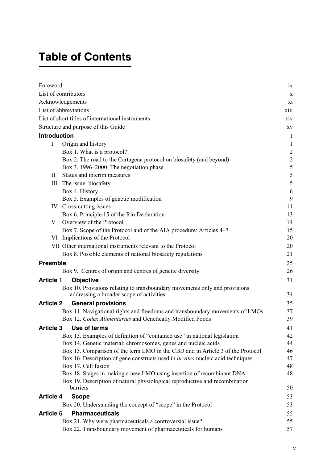## **Table of Contents**

| Foreword             |                                                                                                                                           | 1X                      |  |
|----------------------|-------------------------------------------------------------------------------------------------------------------------------------------|-------------------------|--|
| List of contributors |                                                                                                                                           |                         |  |
| Acknowledgements     |                                                                                                                                           |                         |  |
|                      | List of abbreviations                                                                                                                     |                         |  |
|                      | List of short titles of international instruments                                                                                         | xiy                     |  |
|                      | Structure and purpose of this Guide                                                                                                       | XV                      |  |
| <b>Introduction</b>  |                                                                                                                                           | $\mathbf{1}$            |  |
| Ι                    | Origin and history                                                                                                                        | $\mathbf{1}$            |  |
|                      | Box 1. What is a protocol?                                                                                                                | $\overline{\mathbf{c}}$ |  |
|                      | Box 2. The road to the Cartagena protocol on biosafety (and beyond)                                                                       | $\overline{c}$          |  |
|                      | Box 3. 1996–2000. The negotiation phase                                                                                                   | 5                       |  |
| H                    | Status and interim measures                                                                                                               | 5                       |  |
|                      | III The issue: biosafety                                                                                                                  | 5                       |  |
|                      | Box 4. History                                                                                                                            | 6                       |  |
|                      | Box 5. Examples of genetic modification                                                                                                   | 9                       |  |
|                      | IV Cross-cutting issues                                                                                                                   | 11                      |  |
|                      | Box 6. Principle 15 of the Rio Declaration                                                                                                | 13                      |  |
| V                    | Overview of the Protocol                                                                                                                  | 14                      |  |
|                      | Box 7. Scope of the Protocol and of the AIA procedure: Articles 4–7                                                                       | 15                      |  |
|                      | VI Implications of the Protocol                                                                                                           | 20                      |  |
|                      | VII Other international instruments relevant to the Protocol                                                                              | 20                      |  |
|                      | Box 8. Possible elements of national biosafety regulations                                                                                | 21                      |  |
| <b>Preamble</b>      |                                                                                                                                           | 25                      |  |
|                      | Box 9. Centres of origin and centres of genetic diversity                                                                                 | 26                      |  |
| <b>Article 1</b>     | <b>Objective</b>                                                                                                                          | 31                      |  |
|                      | Box 10. Provisions relating to transboundary movements only and provisions<br>addressing a broader scope of activities                    | 34                      |  |
| <b>Article 2</b>     | <b>General provisions</b>                                                                                                                 | 35                      |  |
|                      | Box 11. Navigational rights and freedoms and transboundary movements of LMOs<br>Box 12. Codex Alimentarius and Genetically Modified Foods | 37<br>39                |  |
| <b>Article 3</b>     | Use of terms                                                                                                                              | 41                      |  |
|                      | Box 13. Examples of definition of "contained use" in national legislation                                                                 | 42                      |  |
|                      | Box 14. Genetic material: chromosomes, genes and nucleic acids                                                                            | 44                      |  |
|                      | Box 15. Comparison of the term LMO in the CBD and in Article 3 of the Protocol                                                            | 46                      |  |
|                      | Box 16. Description of gene constructs used in <i>in vitro</i> nucleic acid techniques                                                    | 47                      |  |
|                      | Box 17. Cell fusion                                                                                                                       | 48                      |  |
|                      | Box 18. Stages in making a new LMO using insertion of recombinant DNA                                                                     | 48                      |  |
|                      | Box 19. Description of natural physiological reproductive and recombination<br>barriers                                                   | 50                      |  |
| <b>Article 4</b>     | <b>Scope</b>                                                                                                                              | 53                      |  |
|                      | Box 20. Understanding the concept of "scope" in the Protocol                                                                              | 53                      |  |
| <b>Article 5</b>     | <b>Pharmaceuticals</b>                                                                                                                    | 55                      |  |
|                      | Box 21. Why were pharmaceuticals a controversial issue?                                                                                   | 55                      |  |
|                      | Box 22. Transboundary movement of pharmaceuticals for humans                                                                              | 57                      |  |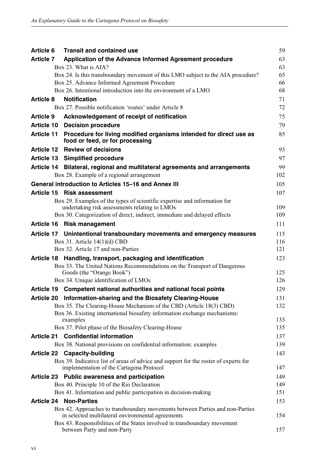| <b>Article 6</b> | <b>Transit and contained use</b>                                                                                                       | 59         |
|------------------|----------------------------------------------------------------------------------------------------------------------------------------|------------|
| <b>Article 7</b> | Application of the Advance Informed Agreement procedure                                                                                | 63         |
|                  | Box 23. What is AIA?                                                                                                                   | 63         |
|                  | Box 24. Is this transboundary movement of this LMO subject to the AIA procedure?                                                       | 65         |
|                  | Box 25. Advance Informed Agreement Procedure                                                                                           | 66         |
|                  | Box 26. Intentional introduction into the environment of a LMO                                                                         | 68         |
| <b>Article 8</b> | <b>Notification</b>                                                                                                                    | 71         |
|                  | Box 27. Possible notification 'routes' under Article 8                                                                                 | 72         |
| <b>Article 9</b> | Acknowledgement of receipt of notification                                                                                             | 75         |
|                  | Article 10 Decision procedure                                                                                                          | 79         |
|                  | Article 11 Procedure for living modified organisms intended for direct use as<br>food or feed, or for processing                       | 85         |
|                  | Article 12 Review of decisions                                                                                                         | 93         |
|                  | Article 13 Simplified procedure                                                                                                        | 97         |
|                  | Article 14 Bilateral, regional and multilateral agreements and arrangements                                                            | 99         |
|                  | Box 28. Example of a regional arrangement                                                                                              | 102        |
|                  | General introduction to Articles 15-16 and Annex III                                                                                   | 105        |
|                  | Article 15 Risk assessment                                                                                                             | 107        |
|                  | Box 29. Examples of the types of scientific expertise and information for<br>undertaking risk assessments relating to LMOs             | 109        |
|                  | Box 30. Categorization of direct, indirect, immediate and delayed effects                                                              | 109        |
|                  | Article 16 Risk management                                                                                                             | 111        |
|                  | Article 17 Unintentional transboundary movements and emergency measures                                                                | 115        |
|                  | Box 31. Article $14(1)(d)$ CBD                                                                                                         | 116        |
|                  | Box 32. Article 17 and non-Parties                                                                                                     | 121        |
|                  | Article 18 Handling, transport, packaging and identification                                                                           | 123        |
|                  | Box 33. The United Nations Recommendations on the Transport of Dangerous                                                               |            |
|                  | Goods (the "Orange Book")                                                                                                              | 125<br>126 |
|                  | Box 34. Unique identification of LMOs                                                                                                  |            |
|                  | Article 19 Competent national authorities and national focal points                                                                    | 129        |
|                  | Article 20 Information-sharing and the Biosafety Clearing-House<br>Box 35. The Clearing-House Mechanism of the CBD (Article 18(3) CBD) | 131<br>132 |
|                  | Box 36. Existing international biosafety information exchange mechanisms:                                                              |            |
|                  | examples                                                                                                                               | 133        |
|                  | Box 37. Pilot phase of the Biosafety Clearing-House                                                                                    | 135        |
|                  | <b>Article 21 Confidential information</b>                                                                                             | 137        |
|                  | Box 38. National provisions on confidential information: examples                                                                      | 139        |
|                  | <b>Article 22 Capacity-building</b>                                                                                                    | 143        |
|                  | Box 39. Indicative list of areas of advice and support for the roster of experts for<br>implementation of the Cartagena Protocol       | 147        |
|                  | Article 23 Public awareness and participation                                                                                          | 149        |
|                  | Box 40. Principle 10 of the Rio Declaration                                                                                            | 149        |
|                  | Box 41. Information and public participation in decision-making                                                                        | 151        |
|                  | <b>Article 24 Non-Parties</b>                                                                                                          | 153        |
|                  | Box 42. Approaches to transboundary movements between Parties and non-Parties<br>in selected multilateral environmental agreements     | 154        |
|                  | Box 43. Responsibilities of the States involved in transboundary movement<br>between Party and non-Party                               | 157        |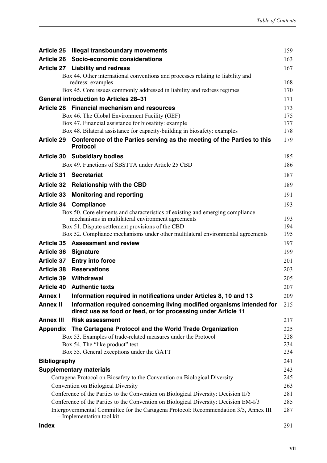|                                                                                      | Article 25 Illegal transboundary movements                                                                                               | 159        |
|--------------------------------------------------------------------------------------|------------------------------------------------------------------------------------------------------------------------------------------|------------|
|                                                                                      | Article 26 Socio-economic considerations                                                                                                 | 163        |
|                                                                                      | Article 27 Liability and redress                                                                                                         | 167        |
|                                                                                      | Box 44. Other international conventions and processes relating to liability and                                                          |            |
|                                                                                      | redress: examples                                                                                                                        | 168        |
|                                                                                      | Box 45. Core issues commonly addressed in liability and redress regimes                                                                  | 170        |
|                                                                                      | <b>General introduction to Articles 28-31</b>                                                                                            | 171        |
|                                                                                      | Article 28 Financial mechanism and resources                                                                                             | 173        |
|                                                                                      | Box 46. The Global Environment Facility (GEF)                                                                                            | 175        |
|                                                                                      | Box 47. Financial assistance for biosafety: example<br>Box 48. Bilateral assistance for capacity-building in biosafety: examples         | 177<br>178 |
|                                                                                      |                                                                                                                                          |            |
| <b>Article 29</b>                                                                    | Conference of the Parties serving as the meeting of the Parties to this<br><b>Protocol</b>                                               | 179        |
|                                                                                      | <b>Article 30 Subsidiary bodies</b>                                                                                                      | 185        |
|                                                                                      | Box 49. Functions of SBSTTA under Article 25 CBD                                                                                         | 186        |
|                                                                                      | <b>Article 31 Secretariat</b>                                                                                                            | 187        |
|                                                                                      | Article 32 Relationship with the CBD                                                                                                     | 189        |
|                                                                                      | Article 33 Monitoring and reporting                                                                                                      | 191        |
|                                                                                      | <b>Article 34 Compliance</b>                                                                                                             | 193        |
|                                                                                      | Box 50. Core elements and characteristics of existing and emerging compliance                                                            |            |
|                                                                                      | mechanisms in multilateral environment agreements                                                                                        | 193        |
|                                                                                      | Box 51. Dispute settlement provisions of the CBD<br>Box 52. Compliance mechanisms under other multilateral environmental agreements      | 194<br>195 |
|                                                                                      | Article 35 Assessment and review                                                                                                         | 197        |
|                                                                                      |                                                                                                                                          |            |
| <b>Article 36</b>                                                                    | <b>Signature</b>                                                                                                                         | 199        |
|                                                                                      | Article 37 Entry into force                                                                                                              | 201        |
|                                                                                      | <b>Article 38 Reservations</b>                                                                                                           | 203        |
| <b>Article 39</b>                                                                    | Withdrawal                                                                                                                               | 205        |
|                                                                                      | <b>Article 40 Authentic texts</b>                                                                                                        | 207        |
| <b>Annex I</b>                                                                       | Information required in notifications under Articles 8, 10 and 13                                                                        | 209        |
| <b>Annex II</b>                                                                      | Information required concerning living modified organisms intended for<br>direct use as food or feed, or for processing under Article 11 | 215        |
| <b>Annex III</b>                                                                     | <b>Risk assessment</b>                                                                                                                   | 217        |
| <b>Appendix</b>                                                                      | The Cartagena Protocol and the World Trade Organization                                                                                  | 225        |
|                                                                                      | Box 53. Examples of trade-related measures under the Protocol                                                                            | 228        |
|                                                                                      | Box 54. The "like product" test                                                                                                          | 234        |
|                                                                                      | Box 55. General exceptions under the GATT                                                                                                | 234        |
| <b>Bibliography</b>                                                                  |                                                                                                                                          | 241        |
|                                                                                      | <b>Supplementary materials</b>                                                                                                           | 243        |
|                                                                                      | Cartagena Protocol on Biosafety to the Convention on Biological Diversity                                                                | 245        |
| Convention on Biological Diversity                                                   |                                                                                                                                          | 263        |
| Conference of the Parties to the Convention on Biological Diversity: Decision II/5   |                                                                                                                                          | 281        |
| Conference of the Parties to the Convention on Biological Diversity: Decision EM-I/3 |                                                                                                                                          | 285        |
|                                                                                      | Intergovernmental Committee for the Cartagena Protocol: Recommendation 3/5, Annex III<br>- Implementation tool kit                       | 287        |
| <b>Index</b>                                                                         |                                                                                                                                          | 291        |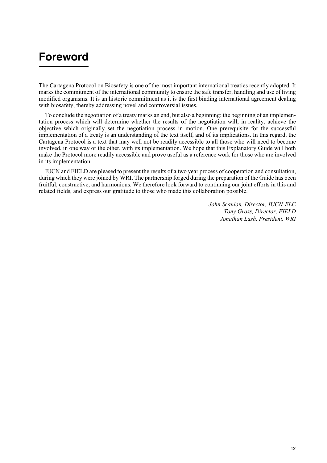### **Foreword**

The Cartagena Protocol on Biosafety is one of the most important international treaties recently adopted. It marks the commitment of the international community to ensure the safe transfer, handling and use of living modified organisms. It is an historic commitment as it is the first binding international agreement dealing with biosafety, thereby addressing novel and controversial issues.

To conclude the negotiation of a treaty marks an end, but also a beginning: the beginning of an implementation process which will determine whether the results of the negotiation will, in reality, achieve the objective which originally set the negotiation process in motion. One prerequisite for the successful implementation of a treaty is an understanding of the text itself, and of its implications. In this regard, the Cartagena Protocol is a text that may well not be readily accessible to all those who will need to become involved, in one way or the other, with its implementation. We hope that this Explanatory Guide will both make the Protocol more readily accessible and prove useful as a reference work for those who are involved in its implementation.

IUCN and FIELD are pleased to present the results of a two year process of cooperation and consultation, during which they were joined by WRI. The partnership forged during the preparation of the Guide has been fruitful, constructive, and harmonious. We therefore look forward to continuing our joint efforts in this and related fields, and express our gratitude to those who made this collaboration possible.

> *John Scanlon, Director, IUCN-ELC Tony Gross, Director, FIELD Jonathan Lash, President, WRI*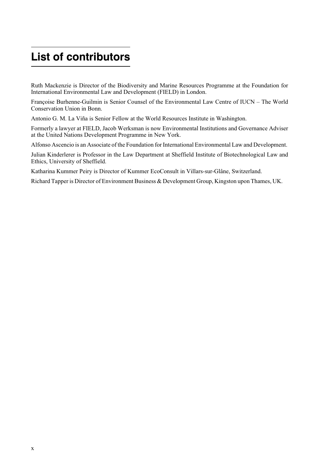## **List of contributors**

Ruth Mackenzie is Director of the Biodiversity and Marine Resources Programme at the Foundation for International Environmental Law and Development (FIELD) in London.

Françoise Burhenne-Guilmin is Senior Counsel of the Environmental Law Centre of IUCN – The World Conservation Union in Bonn.

Antonio G. M. La Viña is Senior Fellow at the World Resources Institute in Washington.

Formerly a lawyer at FIELD, Jacob Werksman is now Environmental Institutions and Governance Adviser at the United Nations Development Programme in New York.

Alfonso Ascencio is an Associate of the Foundation for International Environmental Law and Development.

Julian Kinderlerer is Professor in the Law Department at Sheffield Institute of Biotechnological Law and Ethics, University of Sheffield.

Katharina Kummer Peiry is Director of Kummer EcoConsult in Villars-sur-Glâne, Switzerland.

Richard Tapper is Director of Environment Business & Development Group, Kingston upon Thames, UK.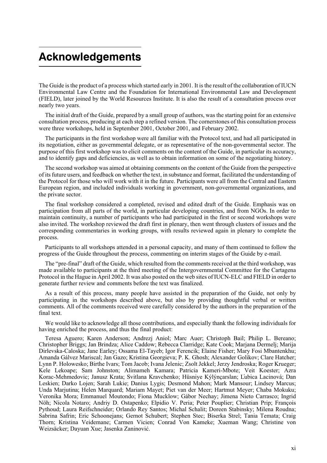#### **Acknowledgements**

The Guide is the product of a process which started early in 2001. It is the result of the collaboration of IUCN Environmental Law Centre and the Foundation for International Environmental Law and Development (FIELD), later joined by the World Resources Institute. It is also the result of a consultation process over nearly two years.

The initial draft of the Guide, prepared by a small group of authors, was the starting point for an extensive consultation process, producing at each step a refined version. The cornerstones of this consultation process were three workshops, held in September 2001, October 2001, and February 2002.

The participants in the first workshop were all familiar with the Protocol text, and had all participated in its negotiation, either as governmental delegate, or as representative of the non-governmental sector. The purpose of this first workshop was to elicit comments on the content of the Guide, in particular its accuracy, and to identify gaps and deficiencies, as well as to obtain information on some of the negotiating history.

The second workshop was aimed at obtaining comments on the content of the Guide from the perspective of its future users, and feedback on whether the text, in substance and format, facilitated the understanding of the Protocol for those who will work with it in the future. Participants were all from the Central and Eastern European region, and included individuals working in government, non-governmental organizations, and the private sector.

The final workshop considered a completed, revised and edited draft of the Guide. Emphasis was on participation from all parts of the world, in particular developing countries, and from NGOs. In order to maintain continuity, a number of participants who had participated in the first or second workshops were also invited. The workshop reviewed the draft first in plenary, then went through clusters of issues and the corresponding commentaries in working groups, with results reviewed again in plenary to complete the process.

Participants to all workshops attended in a personal capacity, and many of them continued to follow the progress of the Guide throughout the process, commenting on interim stages of the Guide by e-mail.

The "pre-final" draft of the Guide, which resulted from the comments received at the third workshop, was made available to participants at the third meeting of the Intergovernmental Committee for the Cartagena Protocol in the Hague in April 2002. It was also posted on the web sites of IUCN-ELC and FIELD in order to generate further review and comments before the text was finalized.

As a result of this process, many people have assisted in the preparation of the Guide, not only by participating in the workshops described above, but also by providing thoughtful verbal or written comments. All of the comments received were carefully considered by the authors in the preparation of the final text.

We would like to acknowledge all those contributions, and especially thank the following individuals for having enriched the process, and thus the final product:

Teresa Aguero; Karen Anderson; Andrezj Aniol; Marc Auer; Christoph Bail; Philip L. Bereano; Christopher Briggs; Jan Brindza; Alice Caddow; Rebecca Clarridge; Kate Cook; Marjana Dermelj; Marija Dirlevska-Caloska; Jane Earley; Ossama El-Tayeb; Igor Ferencik; Elaine Fisher; Mary Fosi Mbantenkhu; Amanda Gálvez Mariscal; Jan Gazo; Kristina Georgieva; P. K. Ghosh; Alexander Golikov; Clare Hatcher; Lynn P. Holowesko; Birthe Ivars; Tom Jacob; Ivana Jelenic; Zsolt Jekkel; Jerzy Jendroska; Roger Krueger; Kele Lekoape; Sam Johnston; Alimameh Kamara; Patricia Kameri-Mbote; Veit Koester; Azra Korac-Mehmedovic; Janusz Krata; Svitlana Kravchenko; Hüsniye Kýlýnçarslan; Lubica Lacinová; Dan Leskien; Darko Lojen; Sarah Lukie; Danius Lygis; Desmond Mahon; Mark Mansour; Lindsey Marcus; Unda Marjutina; Helen Marquard; Mariam Mayet; Piet van der Meer; Hartmut Meyer; Chaba Mokuku; Veronika Mora; Emmanuel Moutondo; Fiona Mucklow; Gábor Nechay; Jimena Nieto Carrasco; Ingrid Nöh; Nicola Notaro; Andriy D. Ostapenko; Elpidio V. Peria; Peter Pouplier; Christian Prip; François Pythoud; Laura Reifschneider; Orlando Rey Santos; Michal Schalit; Doreen Stabinsky; Milena Roudna; Sabrina Safrin; Eric Schoonejans; Gernot Schubert; Stephen Stec; Biserka Strel; Tania Temata; Craig Thorn; Kristina Veidemane; Carmen Vicien; Conrad Von Kameke; Xueman Wang; Christine von Weizsäcker; Dayuan Xue; Jasenka Zaninović.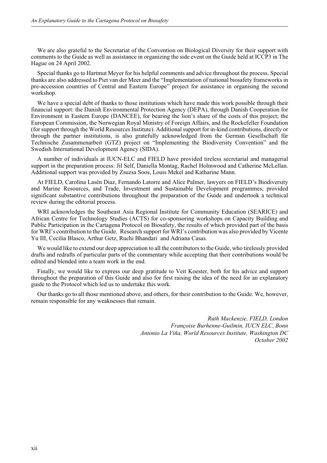We are also grateful to the Secretariat of the Convention on Biological Diversity for their support with comments to the Guide as well as assistance in organizing the side event on the Guide held at ICCP3 in The Hague on 24 April 2002.

Special thanks go to Hartmut Meyer for his helpful comments and advice throughout the process. Special thanks are also addressed to Piet van der Meer and the "Implementation of national biosafety frameworks in pre-accession countries of Central and Eastern Europe" project for assistance in organising the second workshop.

We have a special debt of thanks to those institutions which have made this work possible through their financial support: the Danish Environmental Protection Agency (DEPA), through Danish Cooperation for Environment in Eastern Europe (DANCEE), for bearing the lion's share of the costs of this project; the European Commission, the Norwegian Royal Ministry of Foreign Affairs, and the Rockefeller Foundation (for support through the World Resources Institute). Additional support for in-kind contributions, directly or through the partner institutions, is also gratefully acknowledged from the German Gesellschaft für Technische Zusammenarbeit (GTZ) project on "Implementing the Biodiversity Convention" and the Swedish International Development Agency (SIDA).

A number of individuals at IUCN-ELC and FIELD have provided tireless secretarial and managerial support in the preparation process: Jil Self, Daniella Montag, Rachel Holmwood and Catherine McLellan. Additional support was provided by Zsuzsa Soos, Louis Mekel and Katharine Mann.

At FIELD, Carolina Lasén Diaz, Fernando Latorre and Alice Palmer, lawyers on FIELD's Biodiversity and Marine Resources, and Trade, Investment and Sustainable Development programmes, provided significant substantive contributions throughout the preparation of the Guide and undertook a technical review during the editorial process.

WRI acknowledges the Southeast Asia Regional Institute for Community Education (SEARICE) and African Centre for Technology Studies (ACTS) for co-sponsoring workshops on Capacity Building and Public Participation in the Cartagena Protocol on Biosafety, the results of which provided part of the basis for WRI's contribution to the Guide. Research support for WRI's contribution was also provided by Vicente Yu III, Cecilia Blasco, Arthur Getz, Ruchi Bhandari and Adriana Casas.

We would like to extend our deep appreciation to all the contributors to the Guide, who tirelessly provided drafts and redrafts of particular parts of the commentary while accepting that their contributions would be edited and blended into a team work in the end.

Finally, we would like to express our deep gratitude to Veit Koester, both for his advice and support throughout the preparation of this Guide and also for first raising the idea of the need for an explanatory guide to the Protocol which led us to undertake this work.

Our thanks go to all those mentioned above, and others, for their contribution to the Guide. We, however, remain responsible for any weaknesses that remain.

> *Ruth Mackenzie, FIELD, London Françoise Burhenne-Guilmin, IUCN ELC, Bonn Antonio La Viña, World Resources Institute, Washington DC October 2002*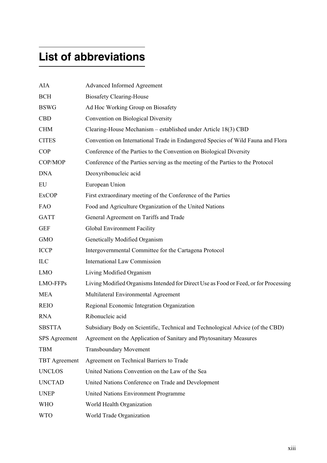# **List of abbreviations**

| <b>AIA</b>           | <b>Advanced Informed Agreement</b>                                                   |
|----------------------|--------------------------------------------------------------------------------------|
| <b>BCH</b>           | <b>Biosafety Clearing-House</b>                                                      |
| <b>BSWG</b>          | Ad Hoc Working Group on Biosafety                                                    |
| <b>CBD</b>           | Convention on Biological Diversity                                                   |
| <b>CHM</b>           | Clearing-House Mechanism – established under Article 18(3) CBD                       |
| <b>CITES</b>         | Convention on International Trade in Endangered Species of Wild Fauna and Flora      |
| <b>COP</b>           | Conference of the Parties to the Convention on Biological Diversity                  |
| COP/MOP              | Conference of the Parties serving as the meeting of the Parties to the Protocol      |
| <b>DNA</b>           | Deoxyribonucleic acid                                                                |
| EU                   | European Union                                                                       |
| <b>ExCOP</b>         | First extraordinary meeting of the Conference of the Parties                         |
| FAO                  | Food and Agriculture Organization of the United Nations                              |
| <b>GATT</b>          | General Agreement on Tariffs and Trade                                               |
| <b>GEF</b>           | Global Environment Facility                                                          |
| <b>GMO</b>           | Genetically Modified Organism                                                        |
| <b>ICCP</b>          | Intergovernmental Committee for the Cartagena Protocol                               |
| ILC                  | <b>International Law Commission</b>                                                  |
| <b>LMO</b>           | Living Modified Organism                                                             |
| LMO-FFPs             | Living Modified Organisms Intended for Direct Use as Food or Feed, or for Processing |
| <b>MEA</b>           | Multilateral Environmental Agreement                                                 |
| <b>REIO</b>          | Regional Economic Integration Organization                                           |
| <b>RNA</b>           | Ribonucleic acid                                                                     |
| <b>SBSTTA</b>        | Subsidiary Body on Scientific, Technical and Technological Advice (of the CBD)       |
| <b>SPS</b> Agreement | Agreement on the Application of Sanitary and Phytosanitary Measures                  |
| <b>TBM</b>           | <b>Transboundary Movement</b>                                                        |
| <b>TBT</b> Agreement | Agreement on Technical Barriers to Trade                                             |
| <b>UNCLOS</b>        | United Nations Convention on the Law of the Sea                                      |
| <b>UNCTAD</b>        | United Nations Conference on Trade and Development                                   |
| <b>UNEP</b>          | United Nations Environment Programme                                                 |
| <b>WHO</b>           | World Health Organization                                                            |
| <b>WTO</b>           | World Trade Organization                                                             |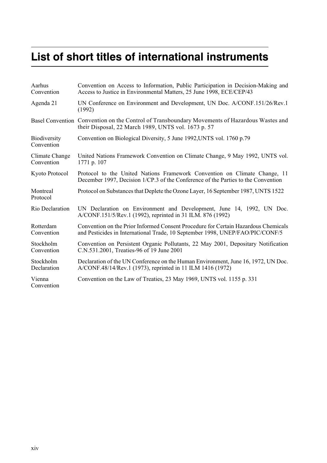## **List of short titles of international instruments**

| Aarhus<br>Convention              | Convention on Access to Information, Public Participation in Decision-Making and<br>Access to Justice in Environmental Matters, 25 June 1998, ECE/CEP/43            |
|-----------------------------------|---------------------------------------------------------------------------------------------------------------------------------------------------------------------|
| Agenda 21                         | UN Conference on Environment and Development, UN Doc. A/CONF.151/26/Rev.1<br>(1992)                                                                                 |
|                                   | Basel Convention Convention on the Control of Transboundary Movements of Hazardous Wastes and<br>their Disposal, 22 March 1989, UNTS vol. 1673 p. 57                |
| <b>Biodiversity</b><br>Convention | Convention on Biological Diversity, 5 June 1992, UNTS vol. 1760 p.79                                                                                                |
| Climate Change<br>Convention      | United Nations Framework Convention on Climate Change, 9 May 1992, UNTS vol.<br>1771 p. 107                                                                         |
| Kyoto Protocol                    | Protocol to the United Nations Framework Convention on Climate Change, 11<br>December 1997, Decision 1/CP.3 of the Conference of the Parties to the Convention      |
| Montreal<br>Protocol              | Protocol on Substances that Deplete the Ozone Layer, 16 September 1987, UNTS 1522                                                                                   |
| Rio Declaration                   | UN Declaration on Environment and Development, June 14, 1992, UN Doc.<br>A/CONF.151/5/Rev.1 (1992), reprinted in 31 ILM. 876 (1992)                                 |
| Rotterdam<br>Convention           | Convention on the Prior Informed Consent Procedure for Certain Hazardous Chemicals<br>and Pesticides in International Trade, 10 September 1998, UNEP/FAO/PIC/CONF/5 |
| Stockholm<br>Convention           | Convention on Persistent Organic Pollutants, 22 May 2001, Depositary Notification<br>C.N.531.2001, Treaties-96 of 19 June 2001                                      |
| Stockholm<br>Declaration          | Declaration of the UN Conference on the Human Environment, June 16, 1972, UN Doc.<br>A/CONF.48/14/Rev.1 (1973), reprinted in 11 ILM 1416 (1972)                     |
| Vienna<br>Convention              | Convention on the Law of Treaties, 23 May 1969, UNTS vol. 1155 p. 331                                                                                               |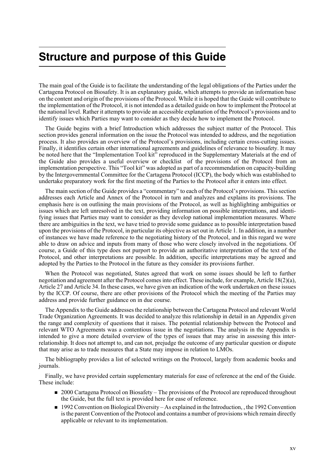#### **Structure and purpose of this Guide**

The main goal of the Guide is to facilitate the understanding of the legal obligations of the Parties under the Cartagena Protocol on Biosafety. It is an explanatory guide, which attempts to provide an information base on the content and origin of the provisions of the Protocol. While it is hoped that the Guide will contribute to the implementation of the Protocol, it is not intended as a detailed guide on how to implement the Protocol at the national level. Rather it attempts to provide an accessible explanation of the Protocol's provisions and to identify issues which Parties may want to consider as they decide how to implement the Protocol.

The Guide begins with a brief Introduction which addresses the subject matter of the Protocol. This section provides general information on the issue the Protocol was intended to address, and the negotiation process. It also provides an overview of the Protocol's provisions, including certain cross-cutting issues. Finally, it identifies certain other international agreements and guidelines of relevance to biosafety. It may be noted here that the "Implementation Tool kit" reproduced in the Supplementary Materials at the end of the Guide also provides a useful overview or checklist of the provisions of the Protocol from an implementation perspective. This "Tool kit" was adopted as part of a recommendation on capacity-building by the Intergovernmental Committee for the Cartagena Protocol (ICCP), the body which was established to undertake preparatory work for the first meeting of the Parties to the Protocol after it enters into effect.

The main section of the Guide provides a "commentary" to each of the Protocol's provisions. This section addresses each Article and Annex of the Protocol in turn and analyzes and explains its provisions. The emphasis here is on outlining the main provisions of the Protocol, as well as highlighting ambiguities or issues which are left unresolved in the text, providing information on possible interpretations, and identifying issues that Parties may want to consider as they develop national implementation measures. Where there are ambiguities in the text, we have tried to provide some guidance as to possible interpretation based upon the provisions of the Protocol, in particular its objective as set out in Article 1. In addition, in a number of instances we have made reference to the negotiating history of the Protocol, and in this regard we were able to draw on advice and inputs from many of those who were closely involved in the negotiations. Of course, a Guide of this type does not purport to provide an authoritative interpretation of the text of the Protocol, and other interpretations are possible. In addition, specific interpretations may be agreed and adopted by the Parties to the Protocol in the future as they consider its provisions further.

When the Protocol was negotiated, States agreed that work on some issues should be left to further negotiation and agreement after the Protocol comes into effect. These include, for example, Article 18(2)(a), Article 27 and Article 34. In these cases, we have given an indication of the work undertaken on these issues by the ICCP. Of course, there are other provisions of the Protocol which the meeting of the Parties may address and provide further guidance on in due course.

The Appendix to the Guide addresses the relationship between the Cartagena Protocol and relevant World Trade Organization Agreements. It was decided to analyze this relationship in detail in an Appendix given the range and complexity of questions that it raises. The potential relationship between the Protocol and relevant WTO Agreements was a contentious issue in the negotiations. The analysis in the Appendix is intended to give a more detailed overview of the types of issues that may arise in assessing this interrelationship. It does not attempt to, and can not, prejudge the outcome of any particular question or dispute that may arise as to trade measures that a State may impose in relation to LMOs.

The bibliography provides a list of selected writings on the Protocol, largely from academic books and journals.

Finally, we have provided certain supplementary materials for ease of reference at the end of the Guide. These include:

- 2000 Cartagena Protocol on Biosafety The provisions of the Protocol are reproduced throughout the Guide, but the full text is provided here for ease of reference.
- $\blacksquare$  1992 Convention on Biological Diversity As explained in the Introduction, , the 1992 Convention is the parent Convention of the Protocol and contains a number of provisions which remain directly applicable or relevant to its implementation.